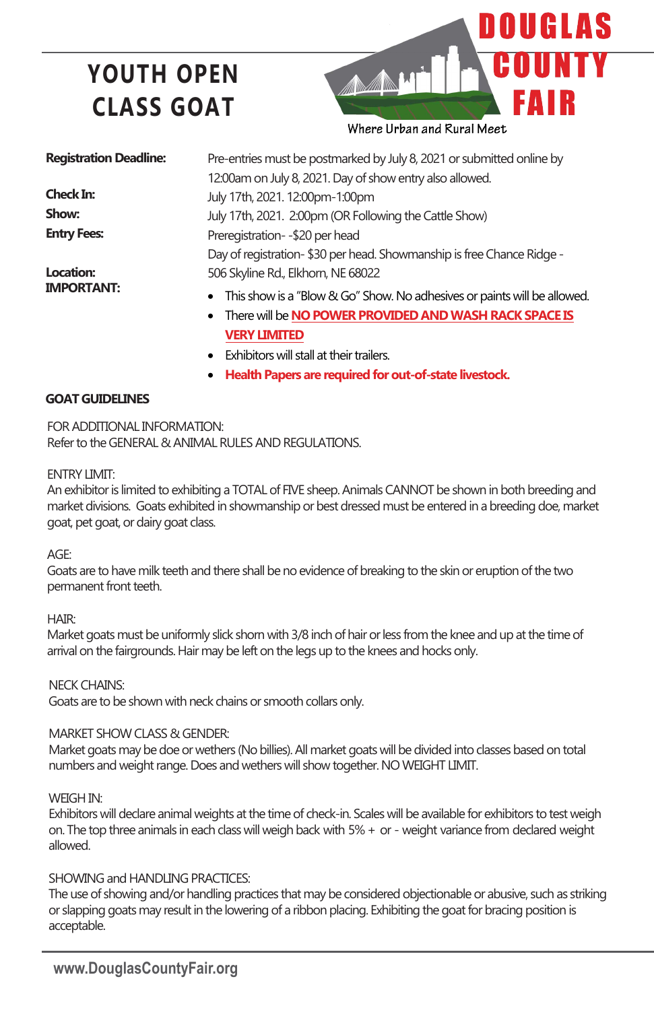# **YOUTH OPEN CLASS GOAT**



**Registration Deadline:**

**Check In: Show: Entry Fees:** 

**Location: IMPORTANT:** Pre-entries must be postmarked by July 8, 2021 or submitted online by 12:00am on July 8, 2021. Day of show entry also allowed. July 17th, 2021. 12:00pm-1:00pm July 17th, 2021. 2:00pm (OR Following the Cattle Show) Preregistration- -\$20 per head Day of registration- \$30 per head. Showmanship is free Chance Ridge -506 Skyline Rd., Elkhorn, NE 68022

- This show is a "Blow & Go" Show. No adhesives or paints will be allowed.
- There will be **NO POWER PROVIDED AND WASH RACK SPACE IS VERY LIMITED**
- Exhibitors will stall at their trailers.
- **Health Papers are required for out-of-state livestock.**

#### **GOAT GUIDELINES**

FOR ADDITIONAL INFORMATION: Refer to the GENERAL & ANIMAL RULES AND REGULATIONS.

#### ENTRY LIMIT:

An exhibitor is limited to exhibiting a TOTAL of FIVE sheep. Animals CANNOT be shown in both breeding and market divisions. Goats exhibited in showmanship or best dressed must be entered in a breeding doe, market goat, pet goat, or dairy goat class.

AGE:

Goats are to have milk teeth and there shall be no evidence of breaking to the skin or eruption of the two permanent front teeth.

HAIR:

Market goats must be uniformly slick shorn with 3/8 inch of hair or less from the knee and up at the time of arrival on the fairgrounds. Hair may be left on the legs up to the knees and hocks only.

NECK CHAINS:

Goats are to be shown with neck chains or smooth collars only.

#### MARKET SHOW CLASS & GENDER:

Market goats may be doe or wethers (No billies). All market goats will be divided into classes based on total numbers and weight range. Does and wethers will show together. NO WEIGHT LIMIT.

WEIGH IN:

Exhibitors will declare animal weights at the time of check-in. Scales will be available for exhibitors to test weigh on. The top three animals in each class will weigh back with 5% + or - weight variance from declared weight allowed.

#### SHOWING and HANDLING PRACTICES:

The use of showing and/or handling practices that may be considered objectionable or abusive, such as striking or slapping goats may result in the lowering of a ribbon placing. Exhibiting the goat for bracing position is acceptable.